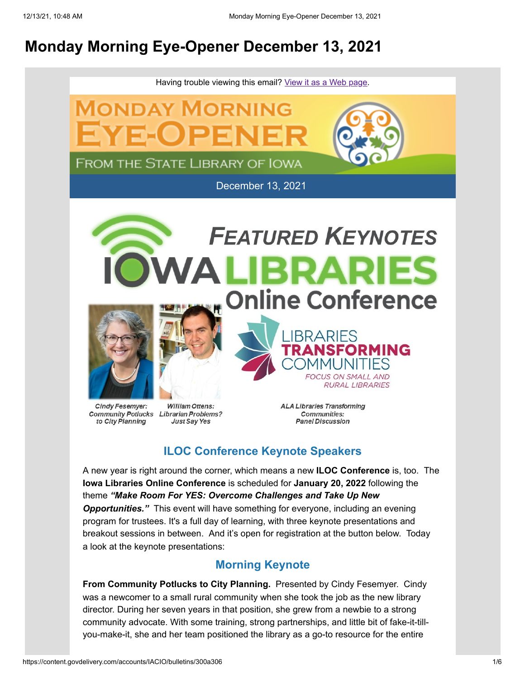## **Monday Morning Eye-Opener December 13, 2021**



# to City Planning

**Just Say Yes** 

**Communities: Panel Discussion** 

## **ILOC Conference Keynote Speakers**

A new year is right around the corner, which means a new **ILOC Conference** is, too. The **Iowa Libraries Online Conference** is scheduled for **January 20, 2022** following the theme *"Make Room For YES: Overcome Challenges and Take Up New Opportunities."* This event will have something for everyone, including an evening program for trustees. It's a full day of learning, with three keynote presentations and breakout sessions in between. And it's open for registration at the button below. Today a look at the keynote presentations:

### **Morning Keynote**

**From Community Potlucks to City Planning.** Presented by Cindy Fesemyer. Cindy was a newcomer to a small rural community when she took the job as the new library director. During her seven years in that position, she grew from a newbie to a strong community advocate. With some training, strong partnerships, and little bit of fake-it-tillyou-make-it, she and her team positioned the library as a go-to resource for the entire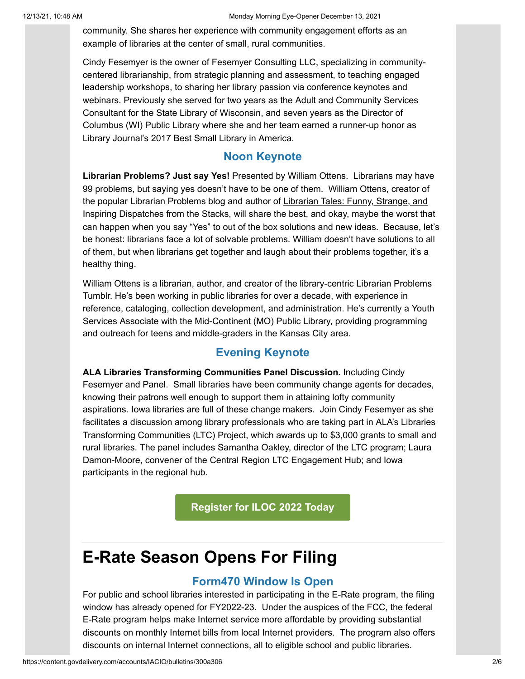community. She shares her experience with community engagement efforts as an example of libraries at the center of small, rural communities.

Cindy Fesemyer is the owner of Fesemyer Consulting LLC, specializing in communitycentered librarianship, from strategic planning and assessment, to teaching engaged leadership workshops, to sharing her library passion via conference keynotes and webinars. Previously she served for two years as the Adult and Community Services Consultant for the State Library of Wisconsin, and seven years as the Director of Columbus (WI) Public Library where she and her team earned a runner-up honor as Library Journal's 2017 Best Small Library in America.

#### **Noon Keynote**

**Librarian Problems? Just say Yes!** Presented by William Ottens. Librarians may have 99 problems, but saying yes doesn't have to be one of them. William Ottens, creator of the popular Librarian Problems blog and author of Librarian Tales: Funny, Strange, and Inspiring Dispatches from the Stacks, will share the best, and okay, maybe the worst that can happen when you say "Yes" to out of the box solutions and new ideas. Because, let's be honest: librarians face a lot of solvable problems. William doesn't have solutions to all of them, but when librarians get together and laugh about their problems together, it's a healthy thing.

William Ottens is a librarian, author, and creator of the library-centric Librarian Problems Tumblr. He's been working in public libraries for over a decade, with experience in reference, cataloging, collection development, and administration. He's currently a Youth Services Associate with the Mid-Continent (MO) Public Library, providing programming and outreach for teens and middle-graders in the Kansas City area.

#### **Evening Keynote**

**ALA Libraries Transforming Communities Panel Discussion.** Including Cindy Fesemyer and Panel. Small libraries have been community change agents for decades, knowing their patrons well enough to support them in attaining lofty community aspirations. Iowa libraries are full of these change makers. Join Cindy Fesemyer as she facilitates a discussion among library professionals who are taking part in ALA's Libraries Transforming Communities (LTC) Project, which awards up to \$3,000 grants to small and rural libraries. The panel includes Samantha Oakley, director of the LTC program; Laura Damon-Moore, convener of the Central Region LTC Engagement Hub; and Iowa participants in the regional hub.

**[Register for ILOC 2022 Today](https://lsglm700.learnsoft.com/LSGLM/Login/ialearns.aspx?utm_medium=email&utm_source=govdelivery)**

## **E-Rate Season Opens For Filing**

#### **Form470 Window Is Open**

For public and school libraries interested in participating in the E-Rate program, the filing window has already opened for FY2022-23. Under the auspices of the FCC, the federal E-Rate program helps make Internet service more affordable by providing substantial discounts on monthly Internet bills from local Internet providers. The program also offers discounts on internal Internet connections, all to eligible school and public libraries.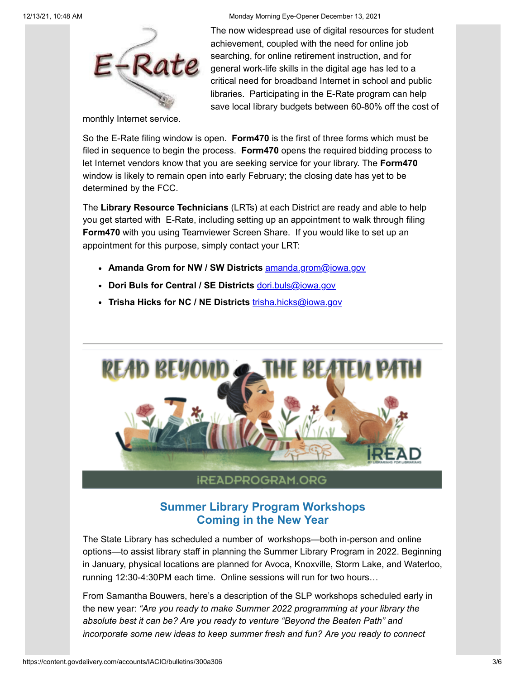Rate

12/13/21, 10:48 AM Monday Morning Eye-Opener December 13, 2021

The now widespread use of digital resources for student achievement, coupled with the need for online job searching, for online retirement instruction, and for general work-life skills in the digital age has led to a critical need for broadband Internet in school and public libraries. Participating in the E-Rate program can help save local library budgets between 60-80% off the cost of

monthly Internet service.

So the E-Rate filing window is open. **Form470** is the first of three forms which must be filed in sequence to begin the process. **Form470** opens the required bidding process to let Internet vendors know that you are seeking service for your library. The **Form470** window is likely to remain open into early February; the closing date has yet to be determined by the FCC.

The **Library Resource Technicians** (LRTs) at each District are ready and able to help you get started with E-Rate, including setting up an appointment to walk through filing **Form470** with you using Teamviewer Screen Share. If you would like to set up an appointment for this purpose, simply contact your LRT:

- **Amanda Grom for NW / SW Districts** [amanda.grom@iowa.gov](mailto:amanda.grom@iowa.gov)
- **Dori Buls for Central / SE Districts** [dori.buls@iowa.gov](mailto:dori.buls@iowa.gov)
- **Trisha Hicks for NC / NE Districts** [trisha.hicks@iowa.gov](mailto:trisha.hicks@iowa.gov)



## **Summer Library Program Workshops Coming in the New Year**

The State Library has scheduled a number of workshops—both in-person and online options—to assist library staff in planning the Summer Library Program in 2022. Beginning in January, physical locations are planned for Avoca, Knoxville, Storm Lake, and Waterloo, running 12:30-4:30PM each time. Online sessions will run for two hours…

From Samantha Bouwers, here's a description of the SLP workshops scheduled early in the new year: *"Are you ready to make Summer 2022 programming at your library the absolute best it can be? Are you ready to venture "Beyond the Beaten Path" and incorporate some new ideas to keep summer fresh and fun? Are you ready to connect*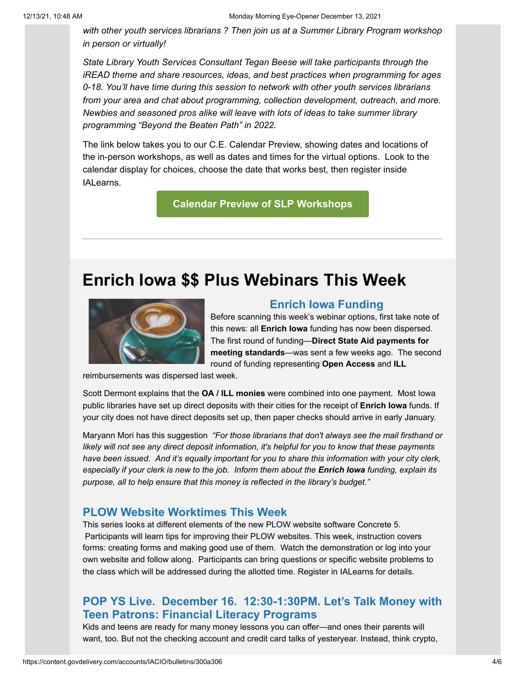*with other youth services librarians ? Then join us at a Summer Library Program workshop in person or virtually!*

*State Library Youth Services Consultant Tegan Beese will take participants through the iREAD theme and share resources, ideas, and best practices when programming for ages 0-18. You'll have time during this session to network with other youth services librarians from your area and chat about programming, collection development, outreach, and more. Newbies and seasoned pros alike will leave with lots of ideas to take summer library programming "Beyond the Beaten Path" in 2022.*

The link below takes you to our C.E. Calendar Preview, showing dates and locations of the in-person workshops, as well as dates and times for the virtual options. Look to the calendar display for choices, choose the date that works best, then register inside IALearns.

#### **[Calendar Preview of SLP Workshops](https://www.statelibraryofiowa.gov/index.php/events?occurrenceID=402&utm_medium=email&utm_source=govdelivery)**

## **Enrich Iowa \$\$ Plus Webinars This Week**



#### **Enrich Iowa Funding**

Before scanning this week's webinar options, first take note of this news: all **Enrich Iowa** funding has now been dispersed. The first round of funding—**Direct State Aid payments for meeting standards**—was sent a few weeks ago. The second round of funding representing **Open Access** and **ILL**

reimbursements was dispersed last week.

Scott Dermont explains that the **OA / ILL monies** were combined into one payment. Most Iowa public libraries have set up direct deposits with their cities for the receipt of **Enrich Iowa** funds. If your city does not have direct deposits set up, then paper checks should arrive in early January.

Maryann Mori has this suggestion *"For those librarians that don't always see the mail firsthand or likely will not see any direct deposit information, it's helpful for you to know that these payments have been issued. And it's equally important for you to share this information with your city clerk, especially if your clerk is new to the job. Inform them about the Enrich Iowa funding, explain its purpose, all to help ensure that this money is reflected in the library's budget."*

#### **PLOW Website Worktimes This Week**

This series looks at different elements of the new PLOW website software Concrete 5. Participants will learn tips for improving their PLOW websites. This week, instruction covers forms: creating forms and making good use of them. Watch the demonstration or log into your own website and follow along. Participants can bring questions or specific website problems to the class which will be addressed during the allotted time. Register in IALearns for details.

#### **POP YS Live. December 16. 12:30-1:30PM. Let's Talk Money with Teen Patrons: Financial Literacy Programs**

Kids and teens are ready for many money lessons you can offer—and ones their parents will want, too. But not the checking account and credit card talks of yesteryear. Instead, think crypto,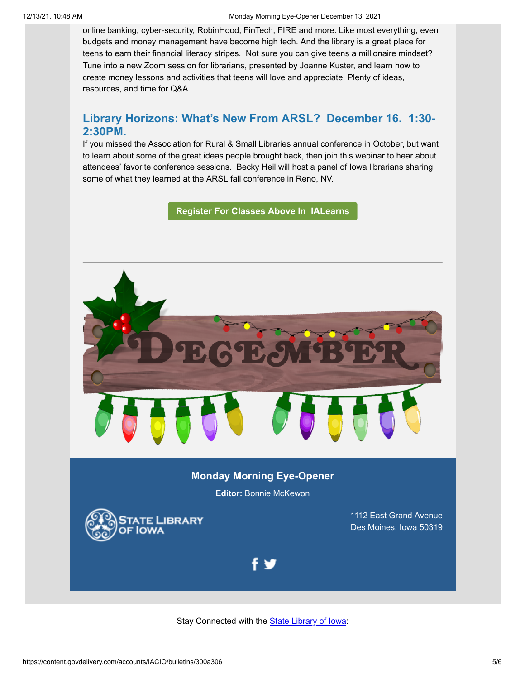online banking, cyber-security, RobinHood, FinTech, FIRE and more. Like most everything, even budgets and money management have become high tech. And the library is a great place for teens to earn their financial literacy stripes. Not sure you can give teens a millionaire mindset? Tune into a new Zoom session for librarians, presented by Joanne Kuster, and learn how to create money lessons and activities that teens will love and appreciate. Plenty of ideas, resources, and time for Q&A.

#### **Library Horizons: What's New From ARSL? December 16. 1:30- 2:30PM.**

If you missed the Association for Rural & Small Libraries annual conference in October, but want to learn about some of the great ideas people brought back, then join this webinar to hear about attendees' favorite conference sessions. Becky Heil will host a panel of Iowa librarians sharing some of what they learned at the ARSL fall conference in Reno, NV.

**[Register For Classes Above In IALearns](https://lsglm700.learnsoft.com/LSGLM/Login/ialearns.aspx?utm_medium=email&utm_source=govdelivery)**



#### **Monday Morning Eye-Opener**

**Editor:** [Bonnie McKewon](mailto:bonnie.mckewon@iowa.gov)



1112 East Grand Avenue Des Moines, Iowa 50319



Stay Connected with the **[State Library of Iowa](http://www.statelibraryofiowa.org/?utm_medium=email&utm_source=govdelivery):**